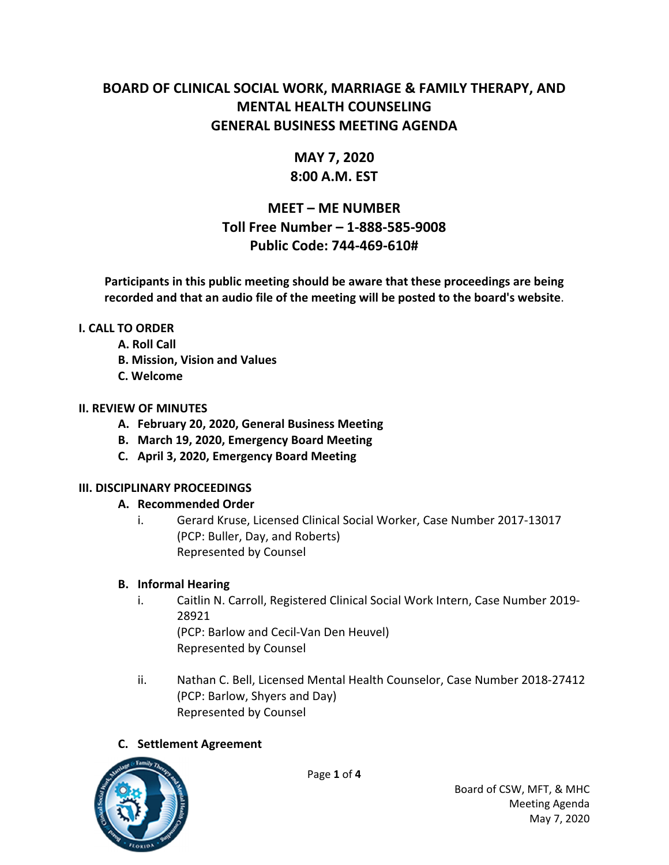# **BOARD OF CLINICAL SOCIAL WORK, MARRIAGE & FAMILY THERAPY, AND MENTAL HEALTH COUNSELING GENERAL BUSINESS MEETING AGENDA**

# **MAY 7, 2020**

## **8:00 A.M. EST**

# **MEET – ME NUMBER Toll Free Number – 1‐888‐585‐9008 Public Code: 744‐469‐610#**

**Participants in this public meeting should be aware that these proceedings are being recorded and that an audio file of the meeting will be posted to the board's website**.

#### **I. CALL TO ORDER**

- **A. Roll Call**
- **B. Mission, Vision and Values**
- **C. Welcome**

## **II. REVIEW OF MINUTES**

- **A. February 20, 2020, General Business Meeting**
- **B. March 19, 2020, Emergency Board Meeting**
- **C. April 3, 2020, Emergency Board Meeting**

## **III. DISCIPLINARY PROCEEDINGS**

## **A. Recommended Order**

i. Gerard Kruse, Licensed Clinical Social Worker, Case Number 2017‐13017 (PCP: Buller, Day, and Roberts) Represented by Counsel

## **B. Informal Hearing**

i. Caitlin N. Carroll, Registered Clinical Social Work Intern, Case Number 2019‐ 28921 (PCP: Barlow and Cecil‐Van Den Heuvel)

Represented by Counsel

ii. Nathan C. Bell, Licensed Mental Health Counselor, Case Number 2018‐27412 (PCP: Barlow, Shyers and Day) Represented by Counsel

# **C. Settlement Agreement**



Page **1** of **4**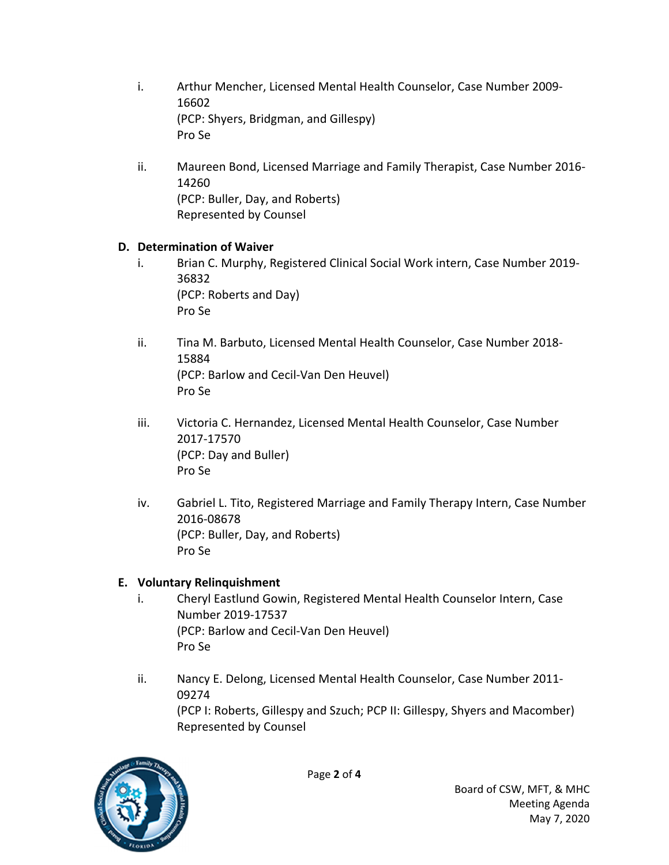- i. Arthur Mencher, Licensed Mental Health Counselor, Case Number 2009-16602 (PCP: Shyers, Bridgman, and Gillespy) Pro Se
- ii. Maureen Bond, Licensed Marriage and Family Therapist, Case Number 2016‐ 14260 (PCP: Buller, Day, and Roberts) Represented by Counsel

#### **D. Determination of Waiver**

- i. Brian C. Murphy, Registered Clinical Social Work intern, Case Number 2019‐ 36832 (PCP: Roberts and Day) Pro Se
- ii. Tina M. Barbuto, Licensed Mental Health Counselor, Case Number 2018-15884 (PCP: Barlow and Cecil‐Van Den Heuvel) Pro Se
- iii. Victoria C. Hernandez, Licensed Mental Health Counselor, Case Number 2017‐17570 (PCP: Day and Buller) Pro Se
- iv. Gabriel L. Tito, Registered Marriage and Family Therapy Intern, Case Number 2016‐08678 (PCP: Buller, Day, and Roberts) Pro Se

## **E. Voluntary Relinquishment**

- i. Cheryl Eastlund Gowin, Registered Mental Health Counselor Intern, Case Number 2019‐17537 (PCP: Barlow and Cecil‐Van Den Heuvel) Pro Se
- ii. Nancy E. Delong, Licensed Mental Health Counselor, Case Number 2011-09274 (PCP I: Roberts, Gillespy and Szuch; PCP II: Gillespy, Shyers and Macomber) Represented by Counsel

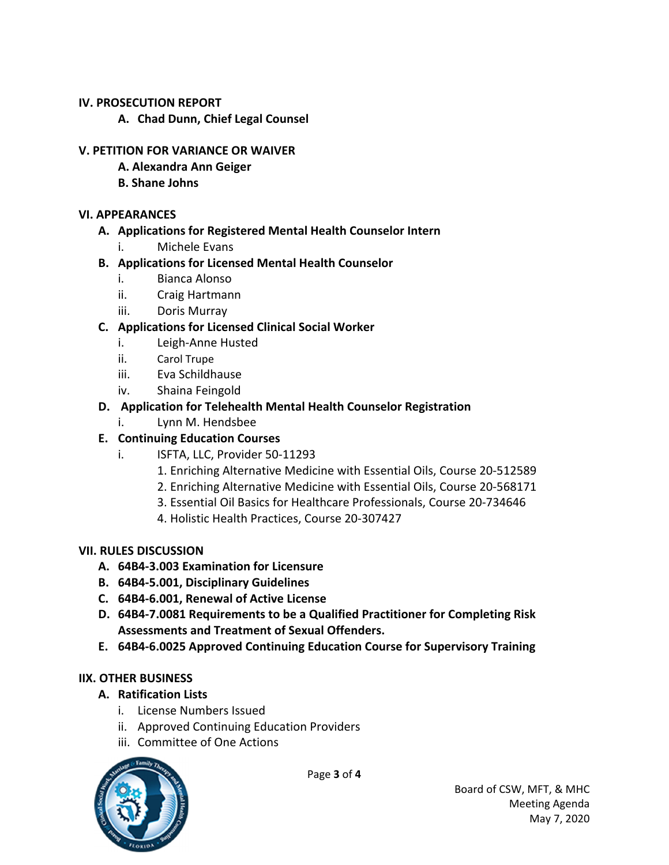#### **IV. PROSECUTION REPORT**

**A. Chad Dunn, Chief Legal Counsel**

#### **V. PETITION FOR VARIANCE OR WAIVER**

- **A. Alexandra Ann Geiger**
- **B. Shane Johns**

#### **VI. APPEARANCES**

#### **A. Applications for Registered Mental Health Counselor Intern**

i. Michele Evans

## **B. Applications for Licensed Mental Health Counselor**

- i. Bianca Alonso
- ii. Craig Hartmann
- iii. Doris Murray

## **C. Applications for Licensed Clinical Social Worker**

- i. Leigh‐Anne Husted
- ii. Carol Trupe
- iii. Eva Schildhause
- iv. Shaina Feingold

## **D. Application for Telehealth Mental Health Counselor Registration**

i. Lynn M. Hendsbee

## **E. Continuing Education Courses**

- i. ISFTA, LLC, Provider 50‐11293
	- 1. Enriching Alternative Medicine with Essential Oils, Course 20‐512589
	- 2. Enriching Alternative Medicine with Essential Oils, Course 20‐568171
	- 3. Essential Oil Basics for Healthcare Professionals, Course 20‐734646
	- 4. Holistic Health Practices, Course 20‐307427

## **VII. RULES DISCUSSION**

- **A. 64B4‐3.003 Examination for Licensure**
- **B. 64B4‐5.001, Disciplinary Guidelines**
- **C. 64B4‐6.001, Renewal of Active License**
- **D. 64B4‐7.0081 Requirements to be a Qualified Practitioner for Completing Risk Assessments and Treatment of Sexual Offenders.**
- **E. 64B4‐6.0025 Approved Continuing Education Course for Supervisory Training**

## **IIX. OTHER BUSINESS**

- **A. Ratification Lists**
	- i. License Numbers Issued
	- ii. Approved Continuing Education Providers
	- iii. Committee of One Actions



Page **3** of **4**